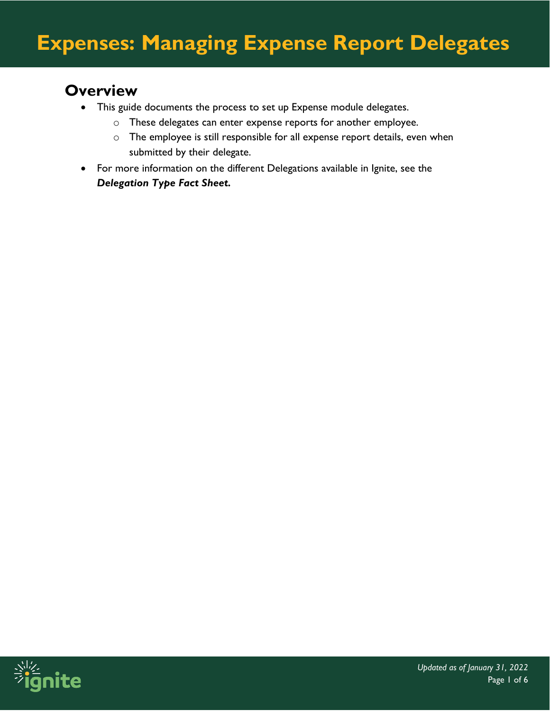#### **Overview**

- This guide documents the process to set up Expense module delegates.
	- o These delegates can enter expense reports for another employee.
	- o The employee is still responsible for all expense report details, even when submitted by their delegate.
- For more information on the different Delegations available in Ignite, see the *Delegation Type Fact Sheet.*

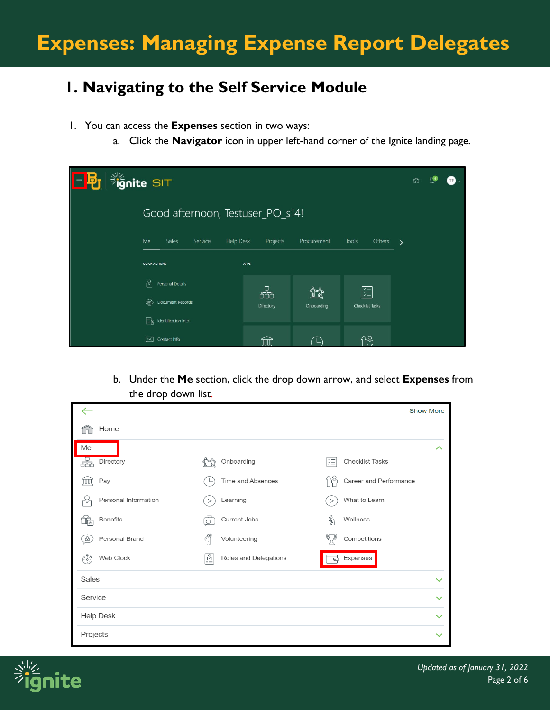### **1. Navigating to the Self Service Module**

- 1. You can access the **Expenses** section in two ways:
	- a. Click the **Navigator** icon in upper left-hand corner of the Ignite landing page.

| <b>Signite SIT</b><br>目明 | ñ                                |                              |                  |                             |               |  |
|--------------------------|----------------------------------|------------------------------|------------------|-----------------------------|---------------|--|
|                          | Good afternoon, Testuser_PO_s14! |                              |                  |                             |               |  |
|                          | Me<br>Sales<br>Service           | Projects<br><b>Help Desk</b> | Procurement      | Tools<br>Others             | $\rightarrow$ |  |
|                          | <b>QUICK ACTIONS</b>             | <b>APPS</b>                  |                  |                             |               |  |
|                          | 'nή<br>Personal Details          |                              |                  |                             |               |  |
|                          | Document Records<br>⊕            | 品<br>Directory               | ĩî<br>Onboarding | 距<br><b>Checklist Tasks</b> |               |  |
|                          | ER.<br>Identification Info       |                              |                  |                             |               |  |
|                          | Contact Info<br>⊠                | ШI                           |                  | ስራ                          |               |  |

b. Under the **Me** section, click the drop down arrow, and select **Expenses** from the drop down list.

|                                         |                                              | <b>Show More</b>                         |
|-----------------------------------------|----------------------------------------------|------------------------------------------|
| Home                                    |                                              |                                          |
| Me                                      |                                              | ᄉ                                        |
| Directory<br>á                          | Onboarding                                   | šΞ<br><b>Checklist Tasks</b>             |
| Pay<br>JШ                               | Time and Absences<br>└                       | 1 <sup>o</sup><br>Career and Performance |
| Personal Information<br>$\triangledown$ | Learning<br>$\triangleright$                 | What to Learn<br>$\triangleright$        |
| <b>Benefits</b><br>Ĩ.                   | <b>Current Jobs</b><br>$\circ$               | ৣ<br>Wellness                            |
| Personal Brand<br>8                     | $\int_{\mathbb{R}}^{\infty}$<br>Volunteering | Competitions                             |
| Web Clock<br>(:هَ)                      | ē<br>Roles and Delegations                   | Expenses<br>⋐                            |
| Sales                                   |                                              | $\checkmark$                             |
| Service                                 |                                              | $\checkmark$                             |
| <b>Help Desk</b>                        |                                              | $\checkmark$                             |
| Projects                                |                                              |                                          |

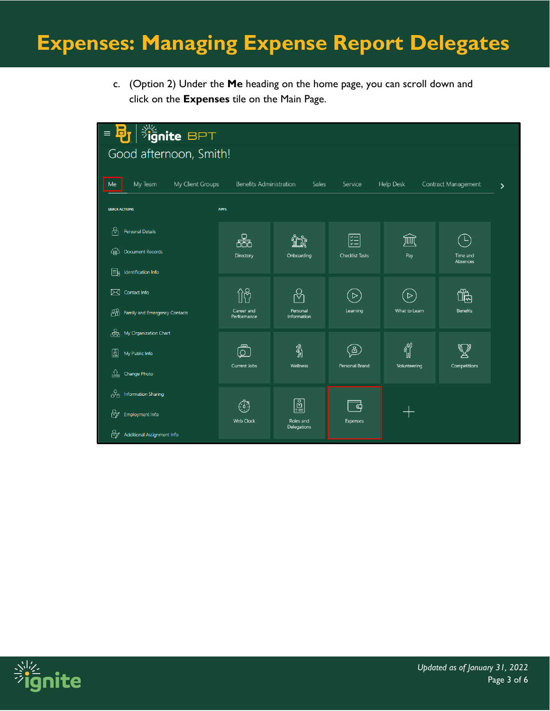## **Expenses: Managing Expense Report Delegates**

c. (Option 2) Under the **Me** heading on the home page, you can scroll down and click on the **Expenses** tile on the Main Page.

| $\frac{1}{2}$ ignite BPT<br>$\blacksquare$<br>$\equiv$<br>ю, |                  |                                    |                                                          |                      |                  |                     |                    |  |  |
|--------------------------------------------------------------|------------------|------------------------------------|----------------------------------------------------------|----------------------|------------------|---------------------|--------------------|--|--|
| Good afternoon, Smith!                                       |                  |                                    |                                                          |                      |                  |                     |                    |  |  |
|                                                              |                  |                                    |                                                          |                      |                  |                     |                    |  |  |
| My Team<br>Me                                                | My Client Groups | <b>Benefits Administration</b>     | Sales                                                    | Service              | <b>Help Desk</b> | Contract Management | $\mathbf{\lambda}$ |  |  |
| <b>APPS</b><br><b>QUICK ACTIONS</b>                          |                  |                                    |                                                          |                      |                  |                     |                    |  |  |
| ၛ<br><b>Personal Details</b>                                 |                  |                                    |                                                          |                      |                  |                     |                    |  |  |
| Document Records<br>俚                                        |                  | 볾<br>Directory                     | Onboarding                                               | 距<br>Checklist Tasks | 寙<br>Pay         | L<br>Time and       |                    |  |  |
| Er<br>Identification Info                                    |                  |                                    |                                                          |                      |                  | Absences            |                    |  |  |
| ⊠<br>Contact Info                                            |                  | Îÿ                                 |                                                          | $\sum$               | $\triangleright$ | $\frac{40}{5}$      |                    |  |  |
| ₩<br>Family and Emergency Contacts                           |                  | Career and                         | Personal                                                 | Learning             | What to Learn    | <b>Benefits</b>     |                    |  |  |
| 喦<br>My Organization Chart                                   |                  | Performance                        | Information                                              |                      |                  |                     |                    |  |  |
|                                                              |                  | ௹                                  | ℁                                                        | $\Xi$                | <b>Cold</b>      |                     |                    |  |  |
| 圖<br>My Public Info                                          |                  | Current Jobs                       | Wellness                                                 | Personal Brand       | Volunteering     | Competitions        |                    |  |  |
| ⇭<br>Change Photo                                            |                  |                                    |                                                          |                      |                  |                     |                    |  |  |
| ුයු<br><b>Information Sharing</b>                            |                  |                                    |                                                          |                      |                  |                     |                    |  |  |
| ₩<br>Employment Info                                         |                  | $\binom{7}{1}$<br><b>Web Clock</b> | $\begin{bmatrix} \frac{1}{2} \end{bmatrix}$<br>Roles and | ට<br><b>Expenses</b> |                  |                     |                    |  |  |
| ₩<br><b>Additional Assignment Info</b>                       |                  |                                    | <b>Delegations</b>                                       |                      |                  |                     |                    |  |  |

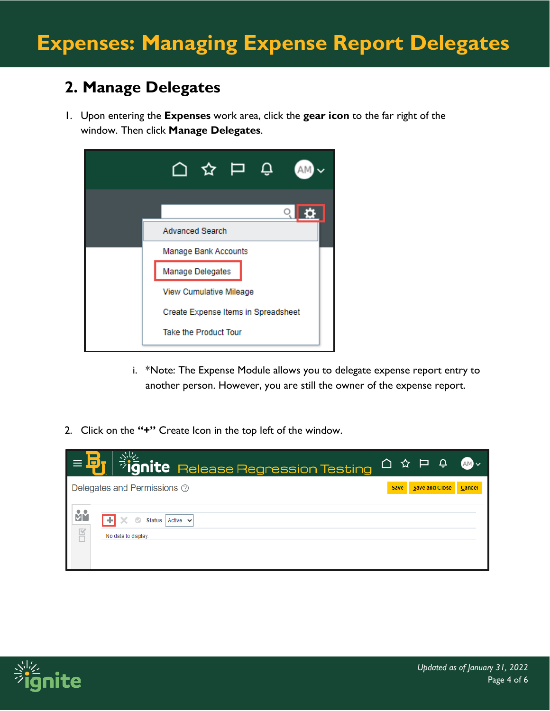### **2. Manage Delegates**

1. Upon entering the **Expenses** work area, click the **gear icon** to the far right of the window. Then click **Manage Delegates**.

| <b>Advanced Search</b>              |
|-------------------------------------|
| Manage Bank Accounts                |
| Manage Delegates                    |
| View Cumulative Mileage             |
| Create Expense Items in Spreadsheet |
| <b>Take the Product Tour</b>        |

- i. \*Note: The Expense Module allows you to delegate expense report entry to another person. However, you are still the owner of the expense report.
- 2. Click on the **"+"** Create Icon in the top left of the window.



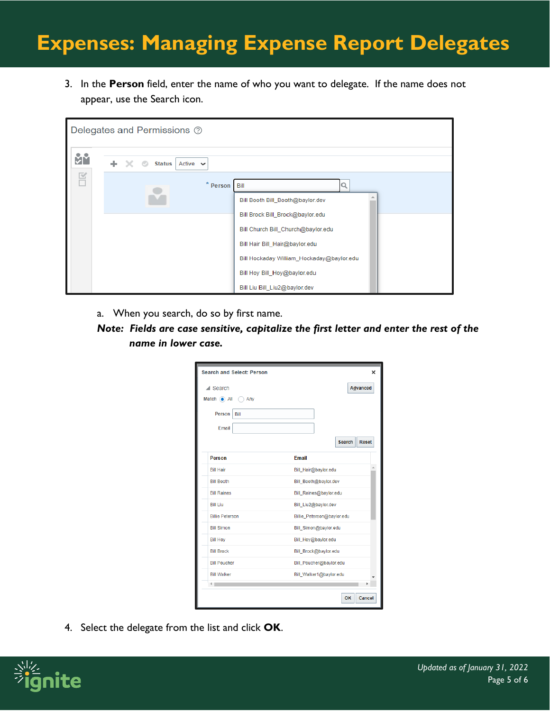# **Expenses: Managing Expense Report Delegates**

3. In the **Person** field, enter the name of who you want to delegate. If the name does not appear, use the Search icon.

|    |  |  |               | Delegates and Permissions 2 |          |                                                                                                            |  |
|----|--|--|---------------|-----------------------------|----------|------------------------------------------------------------------------------------------------------------|--|
| Йů |  |  | <b>Status</b> | Active $\sim$               |          |                                                                                                            |  |
| 舀  |  |  |               |                             | * Person | Bill<br>Bill Booth Bill_Booth@baylor.dev                                                                   |  |
|    |  |  |               |                             |          | Bill Brock Bill_Brock@baylor.edu<br>Bill Church Bill_Church@baylor.edu<br>Bill Hair Bill_Hair@baylor.edu   |  |
|    |  |  |               |                             |          | Bill Hockaday William_Hockaday@baylor.edu<br>Bill Hoy Bill_Hoy@baylor.edu<br>Bill Liu Bill_Liu2@baylor.dev |  |

- a. When you search, do so by first name.
- *Note: Fields are case sensitive, capitalize the first letter and enter the rest of the name in lower case.*

|                               | <b>Search and Select: Person</b> |                            | ×                             |  |  |  |
|-------------------------------|----------------------------------|----------------------------|-------------------------------|--|--|--|
| $\triangle$ Search            |                                  |                            | Advanced                      |  |  |  |
| Match $\odot$ All $\odot$ Any |                                  |                            |                               |  |  |  |
| Person                        | Bill                             |                            |                               |  |  |  |
| Email                         |                                  |                            |                               |  |  |  |
|                               |                                  |                            | <b>Search</b><br><b>Reset</b> |  |  |  |
| Person                        |                                  | <b>Fmail</b>               |                               |  |  |  |
| <b>Bill Hair</b>              |                                  | Bill_Hair@baylor.edu       |                               |  |  |  |
| <b>Bill Booth</b>             |                                  | Bill_Booth@baylor.dev      |                               |  |  |  |
| <b>Bill Raines</b>            |                                  | Bill_Raines@baylor.edu     |                               |  |  |  |
| <b>Bill I iu</b>              |                                  | Bill_Liu2@baylor.dev       |                               |  |  |  |
| <b>Billie Peterson</b>        |                                  | Billie_Peterson@baylor.edu |                               |  |  |  |
| <b>Bill Simon</b>             |                                  | Bill_Simon@baylor.edu      |                               |  |  |  |
| <b>Bill Hoy</b>               |                                  | Bill_Hoy@baylor.edu        |                               |  |  |  |
| <b>Bill Brock</b>             |                                  | Bill_Brock@baylor.edu      |                               |  |  |  |
| <b>Bill Poucher</b>           |                                  | Bill_Poucher@baylor.edu    |                               |  |  |  |
| <b>Bill Walker</b>            |                                  | Bill_Walker1@baylor.edu    |                               |  |  |  |
|                               |                                  |                            |                               |  |  |  |
|                               |                                  |                            | OK<br>Cancel                  |  |  |  |

4. Select the delegate from the list and click **OK**.